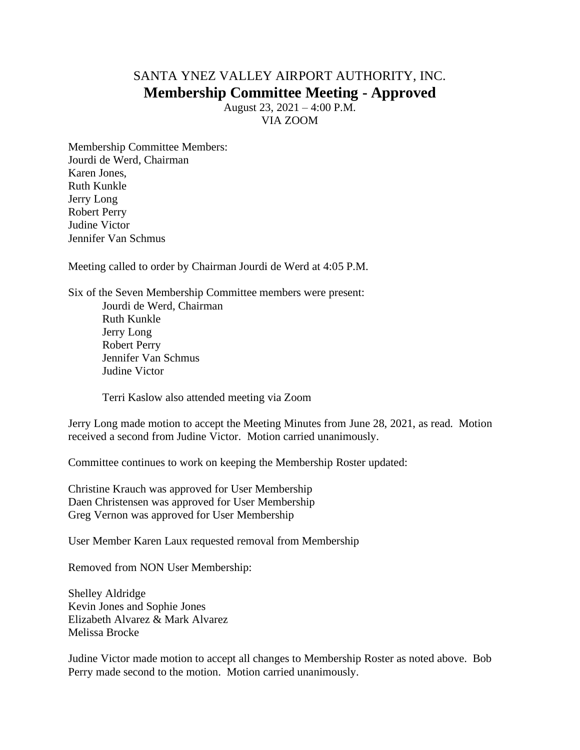## SANTA YNEZ VALLEY AIRPORT AUTHORITY, INC. **Membership Committee Meeting - Approved**

August 23, 2021 – 4:00 P.M. VIA ZOOM

Membership Committee Members: Jourdi de Werd, Chairman Karen Jones, Ruth Kunkle Jerry Long Robert Perry Judine Victor Jennifer Van Schmus

Meeting called to order by Chairman Jourdi de Werd at 4:05 P.M.

Six of the Seven Membership Committee members were present: Jourdi de Werd, Chairman Ruth Kunkle Jerry Long Robert Perry Jennifer Van Schmus Judine Victor

Terri Kaslow also attended meeting via Zoom

Jerry Long made motion to accept the Meeting Minutes from June 28, 2021, as read. Motion received a second from Judine Victor. Motion carried unanimously.

Committee continues to work on keeping the Membership Roster updated:

Christine Krauch was approved for User Membership Daen Christensen was approved for User Membership Greg Vernon was approved for User Membership

User Member Karen Laux requested removal from Membership

Removed from NON User Membership:

Shelley Aldridge Kevin Jones and Sophie Jones Elizabeth Alvarez & Mark Alvarez Melissa Brocke

Judine Victor made motion to accept all changes to Membership Roster as noted above. Bob Perry made second to the motion. Motion carried unanimously.